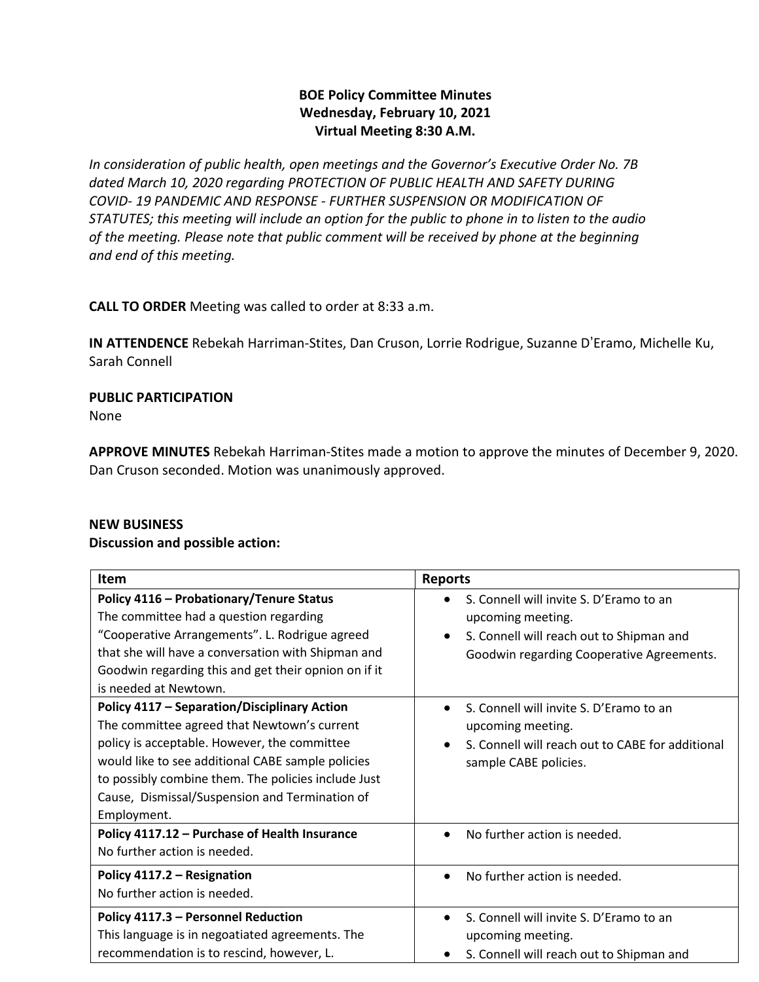# **BOE Policy Committee Minutes Wednesday, February 10, 2021 Virtual Meeting 8:30 A.M.**

*In consideration of public health, open meetings and the Governor's Executive Order No. 7B dated March 10, 2020 regarding PROTECTION OF PUBLIC HEALTH AND SAFETY DURING COVID- 19 PANDEMIC AND RESPONSE - FURTHER SUSPENSION OR MODIFICATION OF STATUTES; this meeting will include an option for the public to phone in to listen to the audio of the meeting. Please note that public comment will be received by phone at the beginning and end of this meeting.*

**CALL TO ORDER** Meeting was called to order at 8:33 a.m.

**IN ATTENDENCE** Rebekah Harriman-Stites, Dan Cruson, Lorrie Rodrigue, Suzanne D'Eramo, Michelle Ku, Sarah Connell

## **PUBLIC PARTICIPATION**  None

**APPROVE MINUTES** Rebekah Harriman-Stites made a motion to approve the minutes of December 9, 2020. Dan Cruson seconded. Motion was unanimously approved.

#### **NEW BUSINESS**

#### **Discussion and possible action:**

| <b>Item</b>                                                                                                                                                                                                                                                                                                                     | <b>Reports</b>                                                                                                                                                     |
|---------------------------------------------------------------------------------------------------------------------------------------------------------------------------------------------------------------------------------------------------------------------------------------------------------------------------------|--------------------------------------------------------------------------------------------------------------------------------------------------------------------|
| Policy 4116 - Probationary/Tenure Status<br>The committee had a question regarding<br>"Cooperative Arrangements". L. Rodrigue agreed<br>that she will have a conversation with Shipman and<br>Goodwin regarding this and get their opnion on if it<br>is needed at Newtown.                                                     | S. Connell will invite S. D'Eramo to an<br>upcoming meeting.<br>S. Connell will reach out to Shipman and<br>$\bullet$<br>Goodwin regarding Cooperative Agreements. |
| <b>Policy 4117 - Separation/Disciplinary Action</b><br>The committee agreed that Newtown's current<br>policy is acceptable. However, the committee<br>would like to see additional CABE sample policies<br>to possibly combine them. The policies include Just<br>Cause, Dismissal/Suspension and Termination of<br>Employment. | S. Connell will invite S. D'Eramo to an<br>upcoming meeting.<br>S. Connell will reach out to CABE for additional<br>sample CABE policies.                          |
| Policy 4117.12 - Purchase of Health Insurance<br>No further action is needed.                                                                                                                                                                                                                                                   | No further action is needed.<br>$\bullet$                                                                                                                          |
| Policy 4117.2 - Resignation<br>No further action is needed.                                                                                                                                                                                                                                                                     | No further action is needed.<br>$\bullet$                                                                                                                          |
| Policy 4117.3 - Personnel Reduction<br>This language is in negoatiated agreements. The<br>recommendation is to rescind, however, L.                                                                                                                                                                                             | S. Connell will invite S. D'Eramo to an<br>$\bullet$<br>upcoming meeting.<br>S. Connell will reach out to Shipman and                                              |